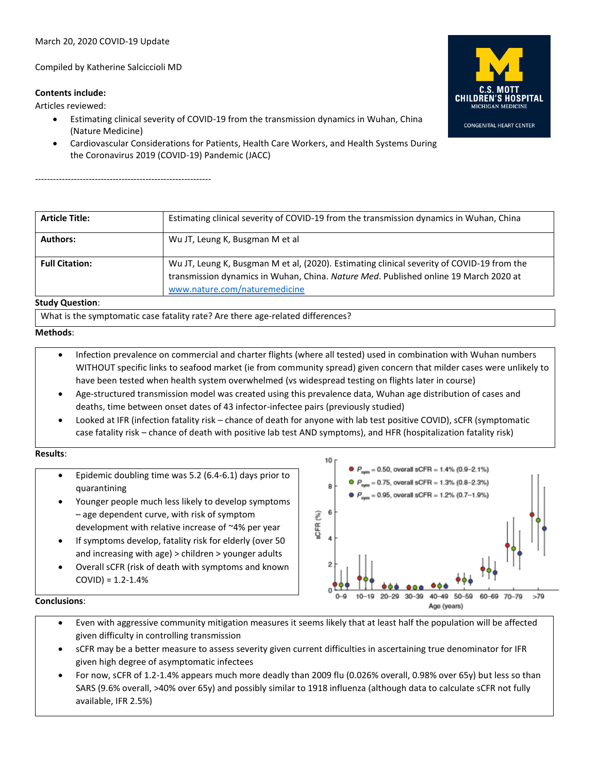Compiled by Katherine Salciccioli MD

# **Contents include:**

Articles reviewed:

- Estimating clinical severity of COVID-19 from the transmission dynamics in Wuhan, China (Nature Medicine)
- Cardiovascular Considerations for Patients, Health Care Workers, and Health Systems During the Coronavirus 2019 (COVID-19) Pandemic (JACC)

-----------------------------------------------------------

| <b>Article Title:</b>  | Estimating clinical severity of COVID-19 from the transmission dynamics in Wuhan, China                                                                                                                             |
|------------------------|---------------------------------------------------------------------------------------------------------------------------------------------------------------------------------------------------------------------|
| <b>Authors:</b>        | Wu JT, Leung K, Busgman M et al                                                                                                                                                                                     |
| <b>Full Citation:</b>  | Wu JT, Leung K, Busgman M et al, (2020). Estimating clinical severity of COVID-19 from the<br>transmission dynamics in Wuhan, China. Nature Med. Published online 19 March 2020 at<br>www.nature.com/naturemedicine |
| <b>Study Question:</b> |                                                                                                                                                                                                                     |

What is the symptomatic case fatality rate? Are there age-related differences?

## **Methods**:

- Infection prevalence on commercial and charter flights (where all tested) used in combination with Wuhan numbers WITHOUT specific links to seafood market (ie from community spread) given concern that milder cases were unlikely to have been tested when health system overwhelmed (vs widespread testing on flights later in course)
- Age-structured transmission model was created using this prevalence data, Wuhan age distribution of cases and deaths, time between onset dates of 43 infector-infectee pairs (previously studied)
- Looked at IFR (infection fatality risk chance of death for anyone with lab test positive COVID), sCFR (symptomatic case fatality risk – chance of death with positive lab test AND symptoms), and HFR (hospitalization fatality risk)

## **Results**:

- Epidemic doubling time was 5.2 (6.4-6.1) days prior to quarantining
- Younger people much less likely to develop symptoms – age dependent curve, with risk of symptom development with relative increase of ~4% per year
- If symptoms develop, fatality risk for elderly (over 50 and increasing with age) > children > younger adults
- Overall sCFR (risk of death with symptoms and known  $COVID$ ) = 1.2-1.4%



# **Conclusions**:

- Even with aggressive community mitigation measures it seems likely that at least half the population will be affected given difficulty in controlling transmission
- sCFR may be a better measure to assess severity given current difficulties in ascertaining true denominator for IFR given high degree of asymptomatic infectees
- For now, sCFR of 1.2-1.4% appears much more deadly than 2009 flu (0.026% overall, 0.98% over 65y) but less so than SARS (9.6% overall, >40% over 65y) and possibly similar to 1918 influenza (although data to calculate sCFR not fully available, IFR 2.5%)

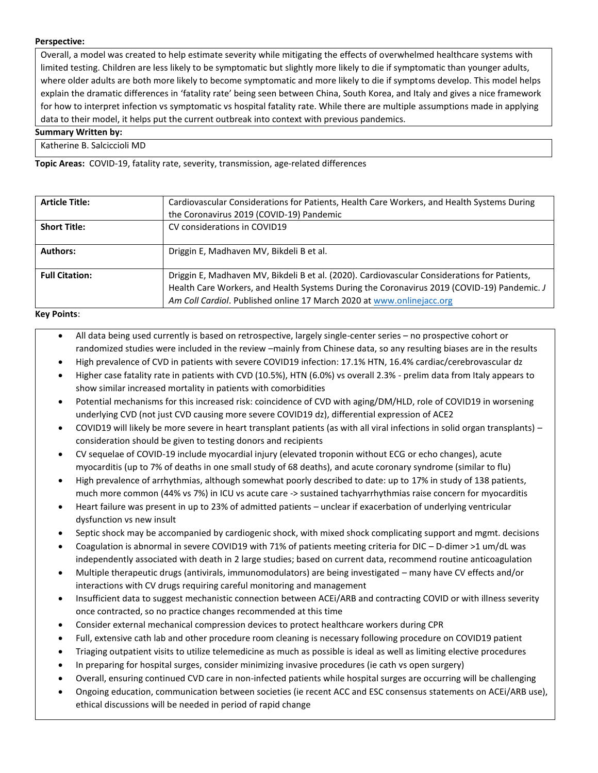## **Perspective:**

Overall, a model was created to help estimate severity while mitigating the effects of overwhelmed healthcare systems with limited testing. Children are less likely to be symptomatic but slightly more likely to die if symptomatic than younger adults, where older adults are both more likely to become symptomatic and more likely to die if symptoms develop. This model helps explain the dramatic differences in 'fatality rate' being seen between China, South Korea, and Italy and gives a nice framework for how to interpret infection vs symptomatic vs hospital fatality rate. While there are multiple assumptions made in applying data to their model, it helps put the current outbreak into context with previous pandemics.

## **Summary Written by:**

Katherine B. Salciccioli MD

**Topic Areas:** COVID-19, fatality rate, severity, transmission, age-related differences

| <b>Article Title:</b> | Cardiovascular Considerations for Patients, Health Care Workers, and Health Systems During<br>the Coronavirus 2019 (COVID-19) Pandemic                                                     |
|-----------------------|--------------------------------------------------------------------------------------------------------------------------------------------------------------------------------------------|
| <b>Short Title:</b>   | CV considerations in COVID19                                                                                                                                                               |
| <b>Authors:</b>       | Driggin E, Madhaven MV, Bikdeli B et al.                                                                                                                                                   |
| <b>Full Citation:</b> | Driggin E, Madhaven MV, Bikdeli B et al. (2020). Cardiovascular Considerations for Patients,<br>Health Care Workers, and Health Systems During the Coronavirus 2019 (COVID-19) Pandemic. J |
|                       | Am Coll Cardiol. Published online 17 March 2020 at www.onlinejacc.org                                                                                                                      |

### **Key Points**:

- All data being used currently is based on retrospective, largely single-center series no prospective cohort or randomized studies were included in the review –mainly from Chinese data, so any resulting biases are in the results
- High prevalence of CVD in patients with severe COVID19 infection: 17.1% HTN, 16.4% cardiac/cerebrovascular dz
- Higher case fatality rate in patients with CVD (10.5%), HTN (6.0%) vs overall 2.3% prelim data from Italy appears to show similar increased mortality in patients with comorbidities
- Potential mechanisms for this increased risk: coincidence of CVD with aging/DM/HLD, role of COVID19 in worsening underlying CVD (not just CVD causing more severe COVID19 dz), differential expression of ACE2
- COVID19 will likely be more severe in heart transplant patients (as with all viral infections in solid organ transplants) consideration should be given to testing donors and recipients
- CV sequelae of COVID-19 include myocardial injury (elevated troponin without ECG or echo changes), acute myocarditis (up to 7% of deaths in one small study of 68 deaths), and acute coronary syndrome (similar to flu)
- High prevalence of arrhythmias, although somewhat poorly described to date: up to 17% in study of 138 patients, much more common (44% vs 7%) in ICU vs acute care -> sustained tachyarrhythmias raise concern for myocarditis
- Heart failure was present in up to 23% of admitted patients unclear if exacerbation of underlying ventricular dysfunction vs new insult
- Septic shock may be accompanied by cardiogenic shock, with mixed shock complicating support and mgmt. decisions
- Coagulation is abnormal in severe COVID19 with 71% of patients meeting criteria for DIC D-dimer >1 um/dL was independently associated with death in 2 large studies; based on current data, recommend routine anticoagulation
- Multiple therapeutic drugs (antivirals, immunomodulators) are being investigated many have CV effects and/or interactions with CV drugs requiring careful monitoring and management
- Insufficient data to suggest mechanistic connection between ACEi/ARB and contracting COVID or with illness severity once contracted, so no practice changes recommended at this time
- Consider external mechanical compression devices to protect healthcare workers during CPR
- Full, extensive cath lab and other procedure room cleaning is necessary following procedure on COVID19 patient
- Triaging outpatient visits to utilize telemedicine as much as possible is ideal as well as limiting elective procedures
- In preparing for hospital surges, consider minimizing invasive procedures (ie cath vs open surgery)
- Overall, ensuring continued CVD care in non-infected patients while hospital surges are occurring will be challenging
- Ongoing education, communication between societies (ie recent ACC and ESC consensus statements on ACEi/ARB use), ethical discussions will be needed in period of rapid change